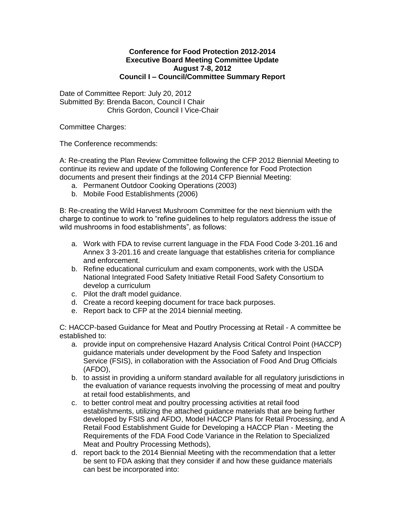## **Conference for Food Protection 2012-2014 Executive Board Meeting Committee Update August 7-8, 2012 Council I – Council/Committee Summary Report**

Date of Committee Report: July 20, 2012 Submitted By: Brenda Bacon, Council I Chair Chris Gordon, Council I Vice-Chair

Committee Charges:

The Conference recommends:

A: Re-creating the Plan Review Committee following the CFP 2012 Biennial Meeting to continue its review and update of the following Conference for Food Protection documents and present their findings at the 2014 CFP Biennial Meeting:

- a. Permanent Outdoor Cooking Operations (2003)
- b. Mobile Food Establishments (2006)

B: Re-creating the Wild Harvest Mushroom Committee for the next biennium with the charge to continue to work to "refine guidelines to help regulators address the issue of wild mushrooms in food establishments", as follows:

- a. Work with FDA to revise current language in the FDA Food Code 3-201.16 and Annex 3 3-201.16 and create language that establishes criteria for compliance and enforcement.
- b. Refine educational curriculum and exam components, work with the USDA National Integrated Food Safety Initiative Retail Food Safety Consortium to develop a curriculum
- c. Pilot the draft model guidance.
- d. Create a record keeping document for trace back purposes.
- e. Report back to CFP at the 2014 biennial meeting.

C: HACCP-based Guidance for Meat and Poutlry Processing at Retail - A committee be established to:

- a. provide input on comprehensive Hazard Analysis Critical Control Point (HACCP) guidance materials under development by the Food Safety and Inspection Service (FSIS), in collaboration with the Association of Food And Drug Officials (AFDO),
- b. to assist in providing a uniform standard available for all regulatory jurisdictions in the evaluation of variance requests involving the processing of meat and poultry at retail food establishments, and
- c. to better control meat and poultry processing activities at retail food establishments, utilizing the attached guidance materials that are being further developed by FSIS and AFDO, Model HACCP Plans for Retail Processing, and A Retail Food Establishment Guide for Developing a HACCP Plan - Meeting the Requirements of the FDA Food Code Variance in the Relation to Specialized Meat and Poultry Processing Methods),
- d. report back to the 2014 Biennial Meeting with the recommendation that a letter be sent to FDA asking that they consider if and how these guidance materials can best be incorporated into: